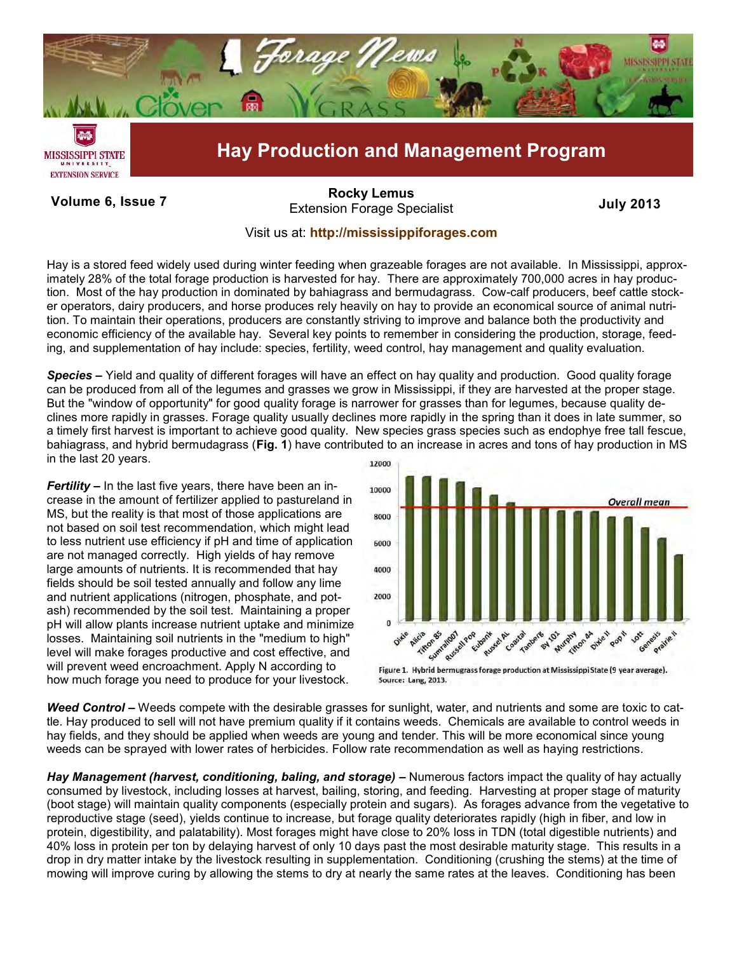

Volume 6, Issue 7 **Internal Colume 19th Colume 19th Colume 6, Issue 7** July 2013 **[Rocky Lemus](mailto:RLemus@ext.msstate.edu?subject=Forage%20News:%20Janaury%202011)**

## Visit us at: **<http://mississippiforages.com>**

Hay is a stored feed widely used during winter feeding when grazeable forages are not available. In Mississippi, approximately 28% of the total forage production is harvested for hay. There are approximately 700,000 acres in hay production. Most of the hay production in dominated by bahiagrass and bermudagrass. Cow-calf producers, beef cattle stocker operators, dairy producers, and horse produces rely heavily on hay to provide an economical source of animal nutrition. To maintain their operations, producers are constantly striving to improve and balance both the productivity and economic efficiency of the available hay. Several key points to remember in considering the production, storage, feeding, and supplementation of hay include: species, fertility, weed control, hay management and quality evaluation.

*Species* **–** Yield and quality of different forages will have an effect on hay quality and production. Good quality forage can be produced from all of the legumes and grasses we grow in Mississippi, if they are harvested at the proper stage. But the "window of opportunity" for good quality forage is narrower for grasses than for legumes, because quality declines more rapidly in grasses. Forage quality usually declines more rapidly in the spring than it does in late summer, so a timely first harvest is important to achieve good quality. New species grass species such as endophye free tall fescue, bahiagrass, and hybrid bermudagrass (**Fig. 1**) have contributed to an increase in acres and tons of hay production in MS in the last 20 years. 12000

*Fertility* **–** In the last five years, there have been an increase in the amount of fertilizer applied to pastureland in MS, but the reality is that most of those applications are not based on soil test recommendation, which might lead to less nutrient use efficiency if pH and time of application are not managed correctly. High yields of hay remove large amounts of nutrients. It is recommended that hay fields should be soil tested annually and follow any lime and nutrient applications (nitrogen, phosphate, and potash) recommended by the soil test. Maintaining a proper pH will allow plants increase nutrient uptake and minimize losses. Maintaining soil nutrients in the "medium to high" level will make forages productive and cost effective, and will prevent weed encroachment. Apply N according to how much forage you need to produce for your livestock.



Figure 1. Hybrid bermugrass forage production at Mississippi State (9 year average). Source: Lang, 2013.

*Weed Control* **–** Weeds compete with the desirable grasses for sunlight, water, and nutrients and some are toxic to cattle. Hay produced to sell will not have premium quality if it contains weeds. Chemicals are available to control weeds in hay fields, and they should be applied when weeds are young and tender. This will be more economical since young weeds can be sprayed with lower rates of herbicides. Follow rate recommendation as well as haying restrictions.

*Hay Management (harvest, conditioning, baling, and storage)* **–** Numerous factors impact the quality of hay actually consumed by livestock, including losses at harvest, bailing, storing, and feeding. Harvesting at proper stage of maturity (boot stage) will maintain quality components (especially protein and sugars). As forages advance from the vegetative to reproductive stage (seed), yields continue to increase, but forage quality deteriorates rapidly (high in fiber, and low in protein, digestibility, and palatability). Most forages might have close to 20% loss in TDN (total digestible nutrients) and 40% loss in protein per ton by delaying harvest of only 10 days past the most desirable maturity stage. This results in a drop in dry matter intake by the livestock resulting in supplementation. Conditioning (crushing the stems) at the time of mowing will improve curing by allowing the stems to dry at nearly the same rates at the leaves. Conditioning has been